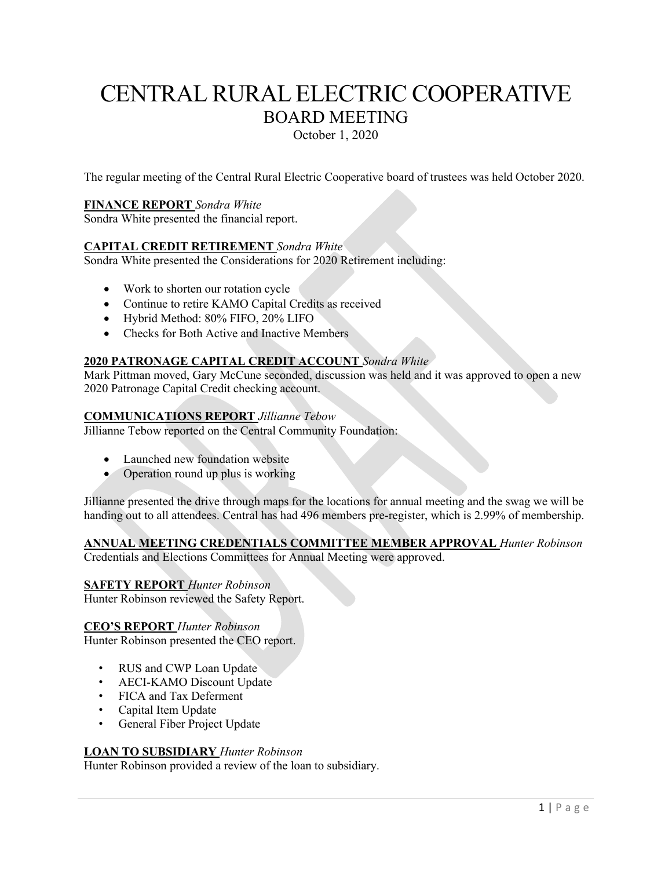# CENTRAL RURAL ELECTRIC COOPERATIVE BOARD MEETING October 1, 2020

The regular meeting of the Central Rural Electric Cooperative board of trustees was held October 2020.

# **FINANCE REPORT** *Sondra White*

Sondra White presented the financial report.

# **CAPITAL CREDIT RETIREMENT** *Sondra White*

Sondra White presented the Considerations for 2020 Retirement including:

- Work to shorten our rotation cycle
- Continue to retire KAMO Capital Credits as received
- Hybrid Method: 80% FIFO, 20% LIFO
- Checks for Both Active and Inactive Members

# **2020 PATRONAGE CAPITAL CREDIT ACCOUNT** *Sondra White*

Mark Pittman moved, Gary McCune seconded, discussion was held and it was approved to open a new 2020 Patronage Capital Credit checking account.

# **COMMUNICATIONS REPORT** *Jillianne Tebow*

Jillianne Tebow reported on the Central Community Foundation:

- Launched new foundation website
- Operation round up plus is working

Jillianne presented the drive through maps for the locations for annual meeting and the swag we will be handing out to all attendees. Central has had 496 members pre-register, which is 2.99% of membership.

# **ANNUAL MEETING CREDENTIALS COMMITTEE MEMBER APPROVAL** *Hunter Robinson*

Credentials and Elections Committees for Annual Meeting were approved.

### **SAFETY REPORT** *Hunter Robinson*

Hunter Robinson reviewed the Safety Report.

### **CEO'S REPORT** *Hunter Robinson*

Hunter Robinson presented the CEO report.

- RUS and CWP Loan Update
- AECI-KAMO Discount Update
- FICA and Tax Deferment
- Capital Item Update
- General Fiber Project Update

### **LOAN TO SUBSIDIARY** *Hunter Robinson*

Hunter Robinson provided a review of the loan to subsidiary.